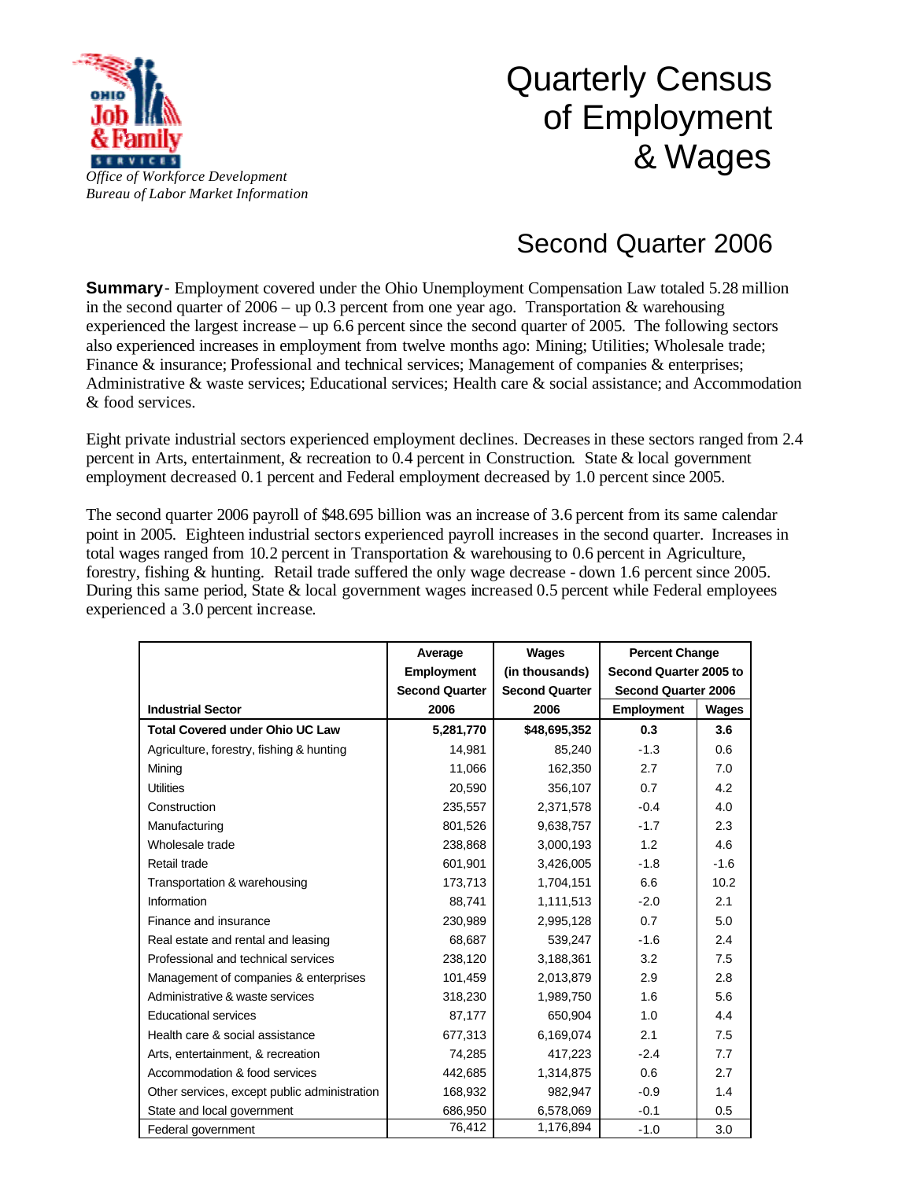

## Quarterly Census of Employment & Wages

## Second Quarter 2006

**Summary**- Employment covered under the Ohio Unemployment Compensation Law totaled 5.28 million in the second quarter of  $2006 -$  up 0.3 percent from one year ago. Transportation & warehousing experienced the largest increase – up 6.6 percent since the second quarter of 2005. The following sectors also experienced increases in employment from twelve months ago: Mining; Utilities; Wholesale trade; Finance & insurance; Professional and technical services; Management of companies & enterprises; Administrative & waste services; Educational services; Health care & social assistance; and Accommodation & food services.

Eight private industrial sectors experienced employment declines. Decreasesin these sectors ranged from 2.4 percent in Arts, entertainment, & recreation to 0.4 percent in Construction. State & local government employment decreased 0.1 percent and Federal employment decreased by 1.0 percent since 2005.

The second quarter 2006 payroll of \$48.695 billion was an increase of 3.6 percent from its same calendar point in 2005. Eighteen industrial sectors experienced payroll increases in the second quarter. Increases in total wages ranged from 10.2 percent in Transportation & warehousing to 0.6 percent in Agriculture, forestry, fishing & hunting. Retail trade suffered the only wage decrease - down 1.6 percent since 2005. During this same period, State & local government wages increased 0.5 percent while Federal employees experienced a 3.0 percent increase.

|                                              | Average               | Wages                 | <b>Percent Change</b>      |        |
|----------------------------------------------|-----------------------|-----------------------|----------------------------|--------|
|                                              | <b>Employment</b>     | (in thousands)        | Second Quarter 2005 to     |        |
|                                              | <b>Second Quarter</b> | <b>Second Quarter</b> | <b>Second Quarter 2006</b> |        |
| <b>Industrial Sector</b>                     | 2006                  | 2006                  | <b>Employment</b>          | Wages  |
| <b>Total Covered under Ohio UC Law</b>       | 5,281,770             | \$48,695,352          | 0.3                        | 3.6    |
| Agriculture, forestry, fishing & hunting     | 14.981                | 85,240                | $-1.3$                     | 0.6    |
| Mining                                       | 11,066                | 162,350               | 2.7                        | 7.0    |
| <b>Utilities</b>                             | 20,590                | 356,107               | 0.7                        | 4.2    |
| Construction                                 | 235,557               | 2,371,578             | $-0.4$                     | 4.0    |
| Manufacturing                                | 801,526               | 9,638,757             | $-1.7$                     | 2.3    |
| Wholesale trade                              | 238,868               | 3,000,193             | 1.2                        | 4.6    |
| Retail trade                                 | 601,901               | 3,426,005             | $-1.8$                     | $-1.6$ |
| Transportation & warehousing                 | 173,713               | 1,704,151             | 6.6                        | 10.2   |
| Information                                  | 88,741                | 1,111,513             | $-2.0$                     | 2.1    |
| Finance and insurance                        | 230,989               | 2,995,128             | 0.7                        | 5.0    |
| Real estate and rental and leasing           | 68,687                | 539,247               | $-1.6$                     | 2.4    |
| Professional and technical services          | 238,120               | 3,188,361             | 3.2                        | 7.5    |
| Management of companies & enterprises        | 101,459               | 2,013,879             | 2.9                        | 2.8    |
| Administrative & waste services              | 318,230               | 1,989,750             | 1.6                        | 5.6    |
| <b>Educational services</b>                  | 87,177                | 650,904               | 1.0                        | 4.4    |
| Health care & social assistance              | 677,313               | 6,169,074             | 2.1                        | 7.5    |
| Arts, entertainment, & recreation            | 74,285                | 417,223               | $-2.4$                     | 7.7    |
| Accommodation & food services                | 442,685               | 1,314,875             | 0.6                        | 2.7    |
| Other services, except public administration | 168,932               | 982,947               | $-0.9$                     | 1.4    |
| State and local government                   | 686,950               | 6,578,069             | $-0.1$                     | 0.5    |
| Federal government                           | 76,412                | 1,176,894             | $-1.0$                     | 3.0    |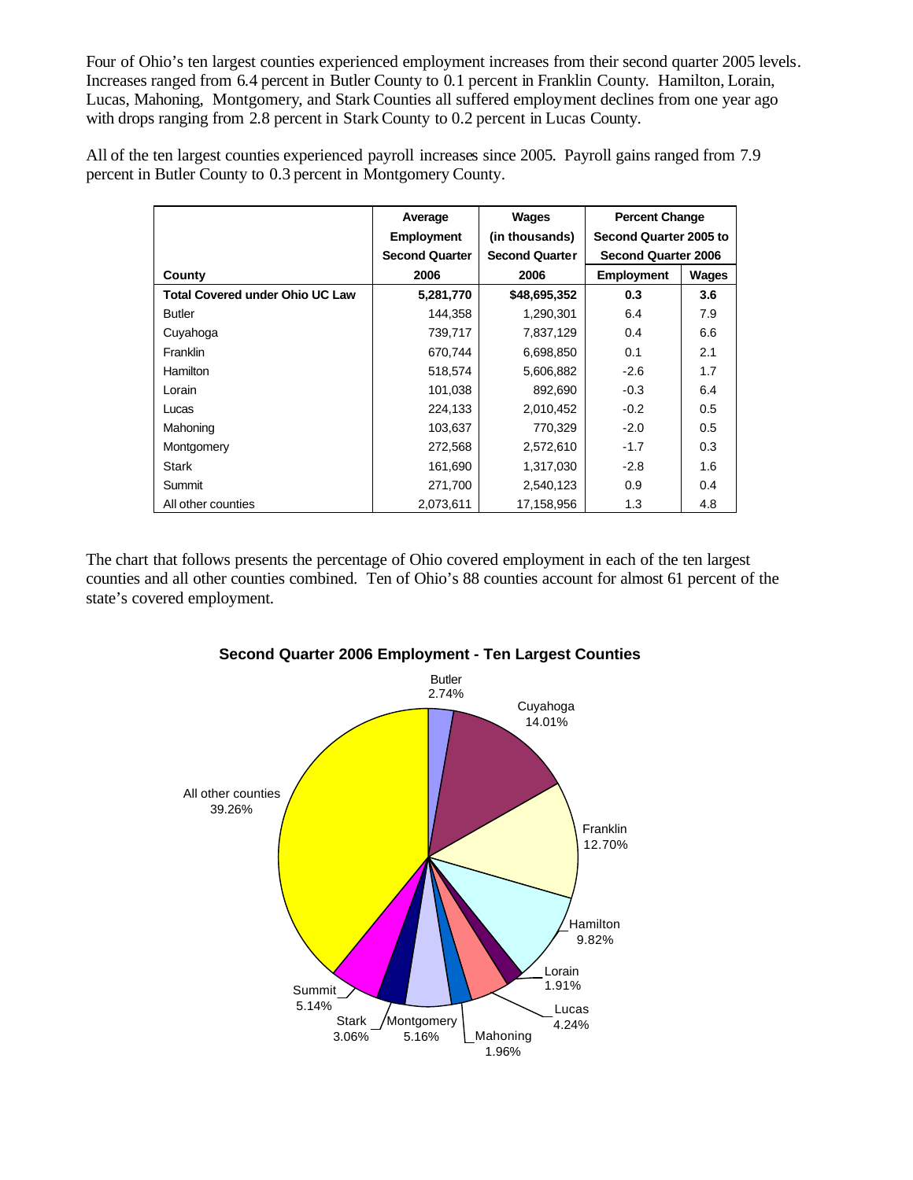Four of Ohio's ten largest counties experienced employment increases from their second quarter 2005 levels. Increases ranged from 6.4 percent in Butler County to 0.1 percent in Franklin County. Hamilton, Lorain, Lucas, Mahoning, Montgomery, and Stark Counties all suffered employment declines from one year ago with drops ranging from 2.8 percent in Stark County to 0.2 percent in Lucas County.

All of the ten largest counties experienced payroll increases since 2005. Payroll gains ranged from 7.9 percent in Butler County to 0.3 percent in Montgomery County.

|                                        | Average               | Wages                 | <b>Percent Change</b>      |              |
|----------------------------------------|-----------------------|-----------------------|----------------------------|--------------|
|                                        | <b>Employment</b>     | (in thousands)        | Second Quarter 2005 to     |              |
|                                        | <b>Second Quarter</b> | <b>Second Quarter</b> | <b>Second Quarter 2006</b> |              |
| County                                 | 2006                  | 2006                  | <b>Employment</b>          | <b>Wages</b> |
| <b>Total Covered under Ohio UC Law</b> | 5,281,770             | \$48,695,352          | 0.3                        | 3.6          |
| <b>Butler</b>                          | 144,358               | 1,290,301             | 6.4                        | 7.9          |
| Cuyahoga                               | 739,717               | 7,837,129             | 0.4                        | 6.6          |
| Franklin                               | 670,744               | 6,698,850             | 0.1                        | 2.1          |
| <b>Hamilton</b>                        | 518,574               | 5,606,882             | $-2.6$                     | 1.7          |
| Lorain                                 | 101,038               | 892,690               | $-0.3$                     | 6.4          |
| Lucas                                  | 224,133               | 2,010,452             | $-0.2$                     | 0.5          |
| Mahoning                               | 103,637               | 770,329               | $-2.0$                     | 0.5          |
| Montgomery                             | 272,568               | 2,572,610             | $-1.7$                     | 0.3          |
| Stark                                  | 161,690               | 1,317,030             | $-2.8$                     | 1.6          |
| Summit                                 | 271,700               | 2,540,123             | 0.9                        | 0.4          |
| All other counties                     | 2,073,611             | 17,158,956            | 1.3                        | 4.8          |

The chart that follows presents the percentage of Ohio covered employment in each of the ten largest counties and all other counties combined. Ten of Ohio's 88 counties account for almost 61 percent of the state's covered employment.



## **Second Quarter 2006 Employment - Ten Largest Counties**